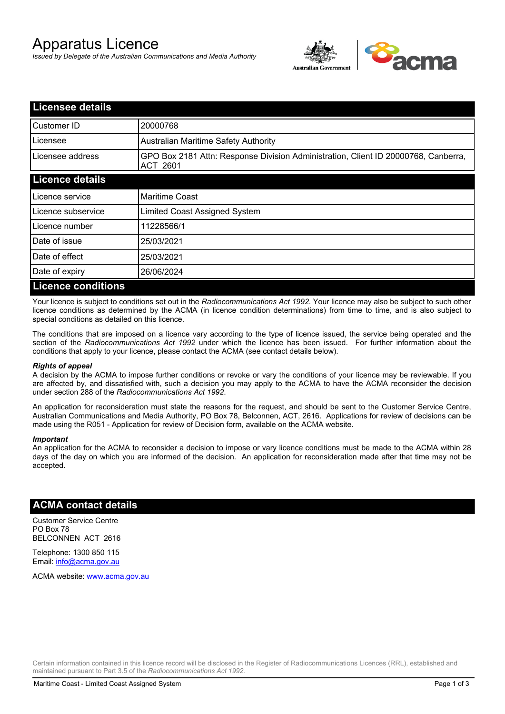# Apparatus Licence

*Issued by Delegate of the Australian Communications and Media Authority*



| <b>Licensee details</b>   |                                                                                                       |  |
|---------------------------|-------------------------------------------------------------------------------------------------------|--|
| Customer ID               | 20000768                                                                                              |  |
| Licensee                  | <b>Australian Maritime Safety Authority</b>                                                           |  |
| Licensee address          | GPO Box 2181 Attn: Response Division Administration, Client ID 20000768, Canberra,<br><b>ACT 2601</b> |  |
| <b>Licence details</b>    |                                                                                                       |  |
| Licence service           | <b>Maritime Coast</b>                                                                                 |  |
| Licence subservice        | Limited Coast Assigned System                                                                         |  |
| Licence number            | 11228566/1                                                                                            |  |
| Date of issue             | 25/03/2021                                                                                            |  |
| Date of effect            | 25/03/2021                                                                                            |  |
| Date of expiry            | 26/06/2024                                                                                            |  |
| <b>Licence conditions</b> |                                                                                                       |  |

Your licence is subject to conditions set out in the *Radiocommunications Act 1992*. Your licence may also be subject to such other licence conditions as determined by the ACMA (in licence condition determinations) from time to time, and is also subject to special conditions as detailed on this licence.

The conditions that are imposed on a licence vary according to the type of licence issued, the service being operated and the section of the *Radiocommunications Act 1992* under which the licence has been issued. For further information about the conditions that apply to your licence, please contact the ACMA (see contact details below).

#### *Rights of appeal*

A decision by the ACMA to impose further conditions or revoke or vary the conditions of your licence may be reviewable. If you are affected by, and dissatisfied with, such a decision you may apply to the ACMA to have the ACMA reconsider the decision under section 288 of the *Radiocommunications Act 1992*.

An application for reconsideration must state the reasons for the request, and should be sent to the Customer Service Centre, Australian Communications and Media Authority, PO Box 78, Belconnen, ACT, 2616. Applications for review of decisions can be made using the R051 - Application for review of Decision form, available on the ACMA website.

#### *Important*

An application for the ACMA to reconsider a decision to impose or vary licence conditions must be made to the ACMA within 28 days of the day on which you are informed of the decision. An application for reconsideration made after that time may not be accepted.

### **ACMA contact details**

Customer Service Centre PO Box 78 BELCONNEN ACT 2616

Telephone: 1300 850 115 Email: info@acma.gov.au

ACMA website: www.acma.gov.au

Certain information contained in this licence record will be disclosed in the Register of Radiocommunications Licences (RRL), established and maintained pursuant to Part 3.5 of the *Radiocommunications Act 1992.*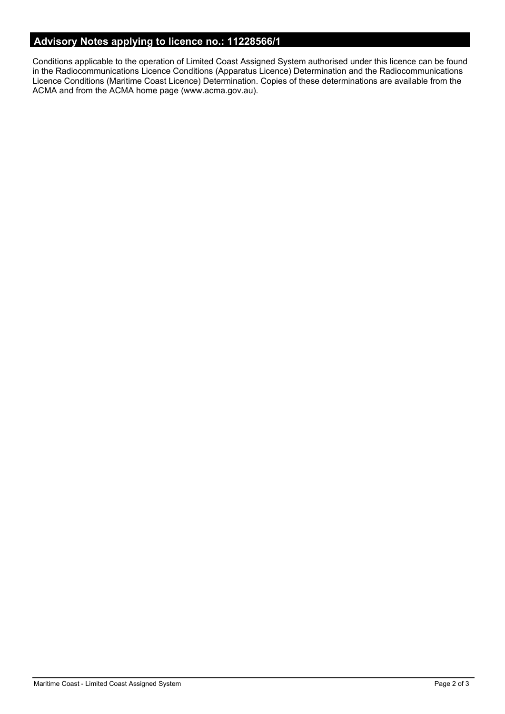# **Advisory Notes applying to licence no.: 11228566/1**

Conditions applicable to the operation of Limited Coast Assigned System authorised under this licence can be found in the Radiocommunications Licence Conditions (Apparatus Licence) Determination and the Radiocommunications Licence Conditions (Maritime Coast Licence) Determination. Copies of these determinations are available from the ACMA and from the ACMA home page (www.acma.gov.au).